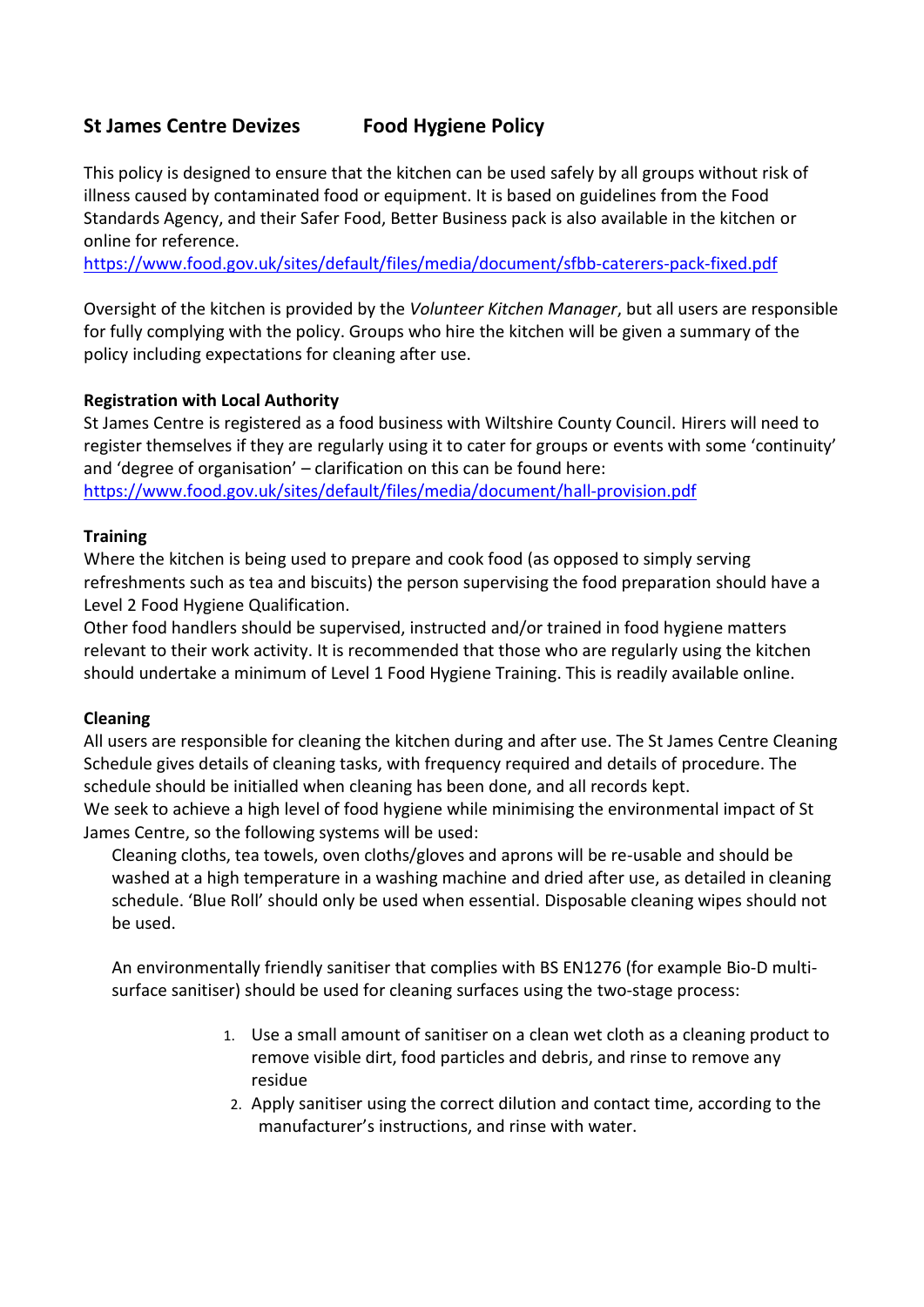# **St James Centre Devizes Food Hygiene Policy**

This policy is designed to ensure that the kitchen can be used safely by all groups without risk of illness caused by contaminated food or equipment. It is based on guidelines from the Food Standards Agency, and their Safer Food, Better Business pack is also available in the kitchen or online for reference.

<https://www.food.gov.uk/sites/default/files/media/document/sfbb-caterers-pack-fixed.pdf>

Oversight of the kitchen is provided by the *Volunteer Kitchen Manager*, but all users are responsible for fully complying with the policy. Groups who hire the kitchen will be given a summary of the policy including expectations for cleaning after use.

# **Registration with Local Authority**

St James Centre is registered as a food business with Wiltshire County Council. Hirers will need to register themselves if they are regularly using it to cater for groups or events with some 'continuity' and 'degree of organisation' – clarification on this can be found here: <https://www.food.gov.uk/sites/default/files/media/document/hall-provision.pdf>

#### **Training**

Where the kitchen is being used to prepare and cook food (as opposed to simply serving refreshments such as tea and biscuits) the person supervising the food preparation should have a Level 2 Food Hygiene Qualification.

Other food handlers should be supervised, instructed and/or trained in food hygiene matters relevant to their work activity. It is recommended that those who are regularly using the kitchen should undertake a minimum of Level 1 Food Hygiene Training. This is readily available online.

#### **Cleaning**

All users are responsible for cleaning the kitchen during and after use. The St James Centre Cleaning Schedule gives details of cleaning tasks, with frequency required and details of procedure. The schedule should be initialled when cleaning has been done, and all records kept.

We seek to achieve a high level of food hygiene while minimising the environmental impact of St James Centre, so the following systems will be used:

Cleaning cloths, tea towels, oven cloths/gloves and aprons will be re-usable and should be washed at a high temperature in a washing machine and dried after use, as detailed in cleaning schedule. 'Blue Roll' should only be used when essential. Disposable cleaning wipes should not be used.

An environmentally friendly sanitiser that complies with BS EN1276 (for example Bio-D multisurface sanitiser) should be used for cleaning surfaces using the two-stage process:

- 1. Use a small amount of sanitiser on a clean wet cloth as a cleaning product to remove visible dirt, food particles and debris, and rinse to remove any residue
- 2. Apply sanitiser using the correct dilution and contact time, according to the manufacturer's instructions, and rinse with water.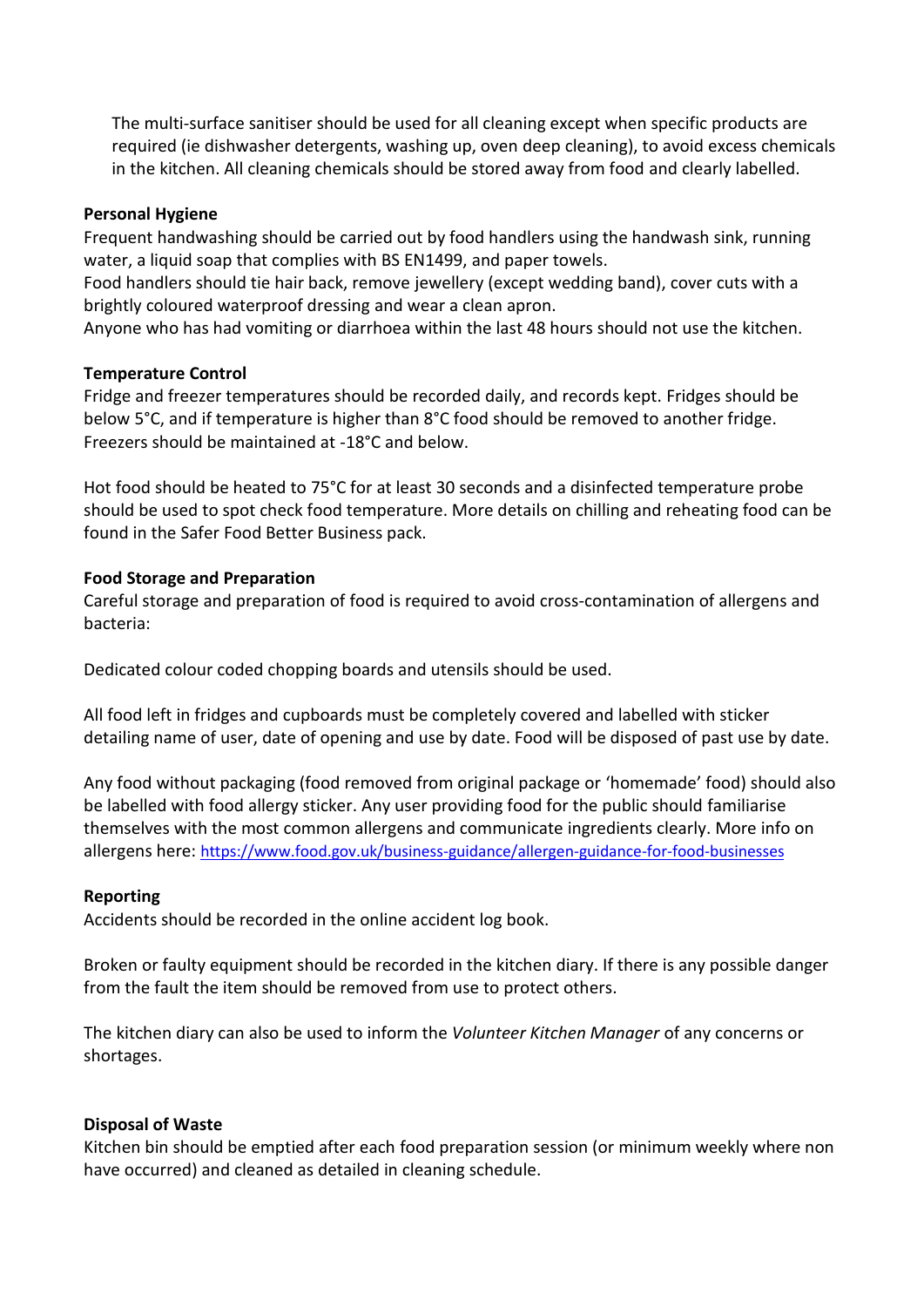The multi-surface sanitiser should be used for all cleaning except when specific products are required (ie dishwasher detergents, washing up, oven deep cleaning), to avoid excess chemicals in the kitchen. All cleaning chemicals should be stored away from food and clearly labelled.

#### **Personal Hygiene**

Frequent handwashing should be carried out by food handlers using the handwash sink, running water, a liquid soap that complies with BS EN1499, and paper towels.

Food handlers should tie hair back, remove jewellery (except wedding band), cover cuts with a brightly coloured waterproof dressing and wear a clean apron.

Anyone who has had vomiting or diarrhoea within the last 48 hours should not use the kitchen.

# **Temperature Control**

Fridge and freezer temperatures should be recorded daily, and records kept. Fridges should be below 5°C, and if temperature is higher than 8°C food should be removed to another fridge. Freezers should be maintained at -18°C and below.

Hot food should be heated to 75°C for at least 30 seconds and a disinfected temperature probe should be used to spot check food temperature. More details on chilling and reheating food can be found in the Safer Food Better Business pack.

# **Food Storage and Preparation**

Careful storage and preparation of food is required to avoid cross-contamination of allergens and bacteria:

Dedicated colour coded chopping boards and utensils should be used.

All food left in fridges and cupboards must be completely covered and labelled with sticker detailing name of user, date of opening and use by date. Food will be disposed of past use by date.

Any food without packaging (food removed from original package or 'homemade' food) should also be labelled with food allergy sticker. Any user providing food for the public should familiarise themselves with the most common allergens and communicate ingredients clearly. More info on allergens here: <https://www.food.gov.uk/business-guidance/allergen-guidance-for-food-businesses>

# **Reporting**

Accidents should be recorded in the online accident log book.

Broken or faulty equipment should be recorded in the kitchen diary. If there is any possible danger from the fault the item should be removed from use to protect others.

The kitchen diary can also be used to inform the *Volunteer Kitchen Manager* of any concerns or shortages.

#### **Disposal of Waste**

Kitchen bin should be emptied after each food preparation session (or minimum weekly where non have occurred) and cleaned as detailed in cleaning schedule.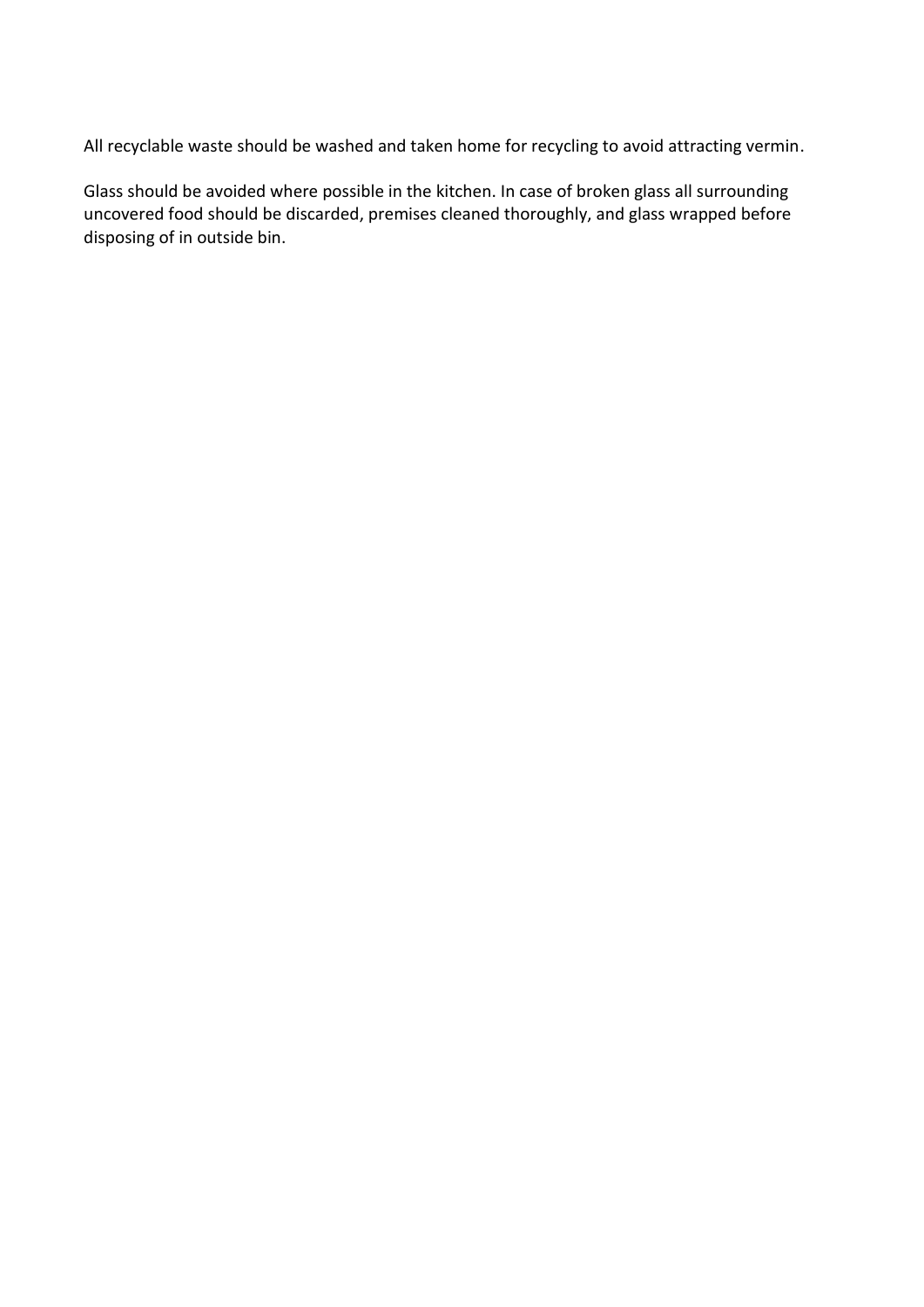All recyclable waste should be washed and taken home for recycling to avoid attracting vermin.

Glass should be avoided where possible in the kitchen. In case of broken glass all surrounding uncovered food should be discarded, premises cleaned thoroughly, and glass wrapped before disposing of in outside bin.